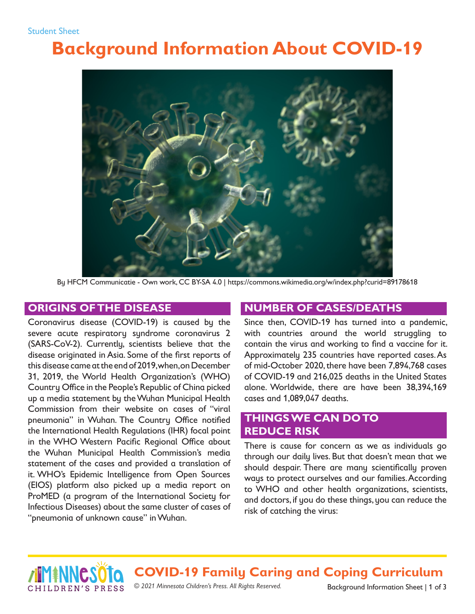# **Background Information About COVID-19**



By HFCM Communicatie - Own work, CC BY-SA 4.0 | https://commons.wikimedia.org/w/index.php?curid=89178618

## **ORIGINS OF THE DISEASE**

CHILDREN'S PRESS

Coronavirus disease (COVID-19) is caused by the severe acute respiratory syndrome coronavirus 2 (SARS-CoV-2). Currently, scientists believe that the disease originated in Asia. Some of the first reports of this disease came at the end of 2019, when, on December 31, 2019, the World Health Organization's (WHO) Country Office in the People's Republic of China picked up a media statement by the Wuhan Municipal Health Commission from their website on cases of "viral pneumonia" in Wuhan. The Country Office notified the International Health Regulations (IHR) focal point in the WHO Western Pacific Regional Office about the Wuhan Municipal Health Commission's media statement of the cases and provided a translation of it. WHO's Epidemic Intelligence from Open Sources (EIOS) platform also picked up a media report on ProMED (a program of the International Society for Infectious Diseases) about the same cluster of cases of "pneumonia of unknown cause" in Wuhan.

## **NUMBER OF CASES/DEATHS**

Since then, COVID-19 has turned into a pandemic, with countries around the world struggling to contain the virus and working to find a vaccine for it. Approximately 235 countries have reported cases. As of mid-October 2020, there have been 7,894,768 cases of COVID-19 and 216,025 deaths in the United States alone. Worldwide, there are have been 38,394,169 cases and 1,089,047 deaths.

## **THINGS WE CAN DO TO REDUCE RISK**

There is cause for concern as we as individuals go through our daily lives. But that doesn't mean that we should despair. There are many scientifically proven ways to protect ourselves and our families. According to WHO and other health organizations, scientists, and doctors, if you do these things, you can reduce the risk of catching the virus:

**COVID-19 Family Caring and Coping Curriculum**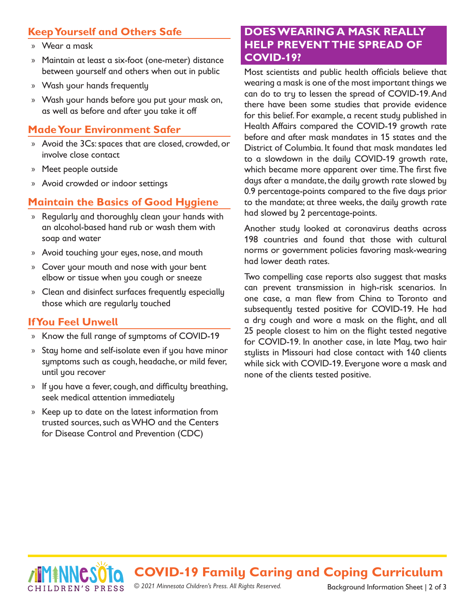# **Keep Yourself and Others Safe**

- » Wear a mask
- » Maintain at least a six-foot (one-meter) distance between yourself and others when out in public
- » Wash your hands frequently
- » Wash your hands before you put your mask on, as well as before and after you take it off

## **Made Your Environment Safer**

- » Avoid the 3Cs: spaces that are closed, crowded, or involve close contact
- » Meet people outside
- » Avoid crowded or indoor settings

#### **Maintain the Basics of Good Hygiene**

- » Regularly and thoroughly clean your hands with an alcohol-based hand rub or wash them with soap and water
- » Avoid touching your eyes, nose, and mouth
- » Cover your mouth and nose with your bent elbow or tissue when you cough or sneeze
- » Clean and disinfect surfaces frequently especially those which are regularly touched

## **If You Feel Unwell**

- » Know the full range of symptoms of COVID-19
- » Stay home and self-isolate even if you have minor symptoms such as cough, headache, or mild fever, until you recover
- » If you have a fever, cough, and difficulty breathing, seek medical attention immediately
- » Keep up to date on the latest information from trusted sources, such as WHO and the Centers for Disease Control and Prevention (CDC)

# **DOES WEARING A MASK REALLY HELP PREVENT THE SPREAD OF COVID-19?**

Most scientists and public health officials believe that wearing a mask is one of the most important things we can do to try to lessen the spread of COVID-19. And there have been some studies that provide evidence for this belief. For example, a recent study published in Health Affairs compared the COVID-19 growth rate before and after mask mandates in 15 states and the District of Columbia. It found that mask mandates led to a slowdown in the daily COVID-19 growth rate, which became more apparent over time. The first five days after a mandate, the daily growth rate slowed by 0.9 percentage-points compared to the five days prior to the mandate; at three weeks, the daily growth rate had slowed by 2 percentage-points.

Another study looked at coronavirus deaths across 198 countries and found that those with cultural norms or government policies favoring mask-wearing had lower death rates.

Two compelling case reports also suggest that masks can prevent transmission in high-risk scenarios. In one case, a man flew from China to Toronto and subsequently tested positive for COVID-19. He had a dry cough and wore a mask on the flight, and all 25 people closest to him on the flight tested negative for COVID-19. In another case, in late May, two hair stylists in Missouri had close contact with 140 clients while sick with COVID-19. Everyone wore a mask and none of the clients tested positive.



**COVID-19 Family Caring and Coping Curriculum**

*© 2021 Minnesota Children's Press. All Rights Reserved.*

Background Information Sheet | 2 of 3